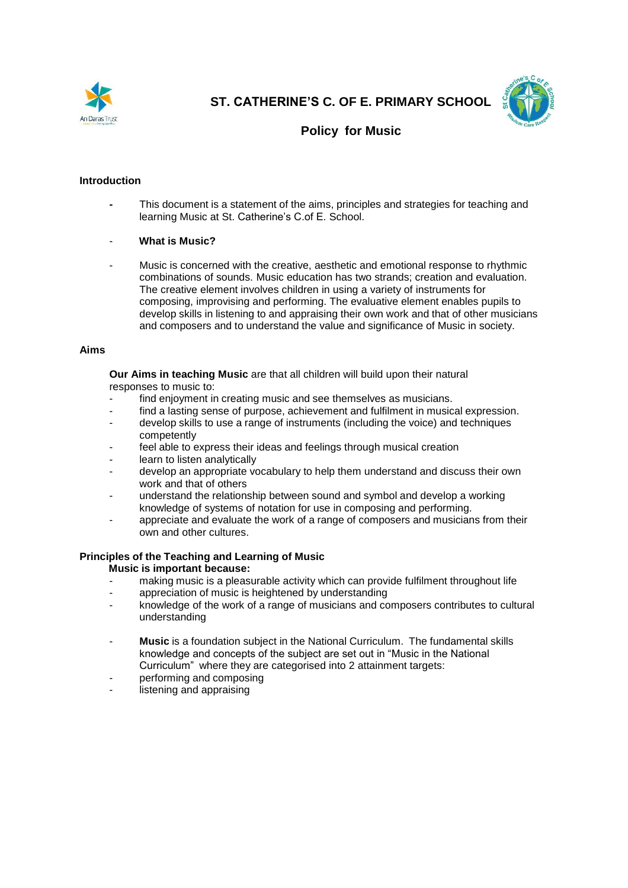

**ST. CATHERINE'S C. OF E. PRIMARY SCHOOL**



# **Policy for Music**

# **Introduction**

**-** This document is a statement of the aims, principles and strategies for teaching and learning Music at St. Catherine's C.of E. School.

### - **What is Music?**

Music is concerned with the creative, aesthetic and emotional response to rhythmic combinations of sounds. Music education has two strands; creation and evaluation. The creative element involves children in using a variety of instruments for composing, improvising and performing. The evaluative element enables pupils to develop skills in listening to and appraising their own work and that of other musicians and composers and to understand the value and significance of Music in society.

#### **Aims**

**Our Aims in teaching Music** are that all children will build upon their natural responses to music to:

- find enjoyment in creating music and see themselves as musicians.
- find a lasting sense of purpose, achievement and fulfilment in musical expression.
- develop skills to use a range of instruments (including the voice) and techniques competently
- feel able to express their ideas and feelings through musical creation
- learn to listen analytically
- develop an appropriate vocabulary to help them understand and discuss their own work and that of others
- understand the relationship between sound and symbol and develop a working knowledge of systems of notation for use in composing and performing.
- appreciate and evaluate the work of a range of composers and musicians from their own and other cultures.

#### **Principles of the Teaching and Learning of Music**

 **Music is important because:**

- making music is a pleasurable activity which can provide fulfilment throughout life
- appreciation of music is heightened by understanding
- knowledge of the work of a range of musicians and composers contributes to cultural understanding
- Music is a foundation subject in the National Curriculum. The fundamental skills knowledge and concepts of the subject are set out in "Music in the National Curriculum" where they are categorised into 2 attainment targets:
- performing and composing
- listening and appraising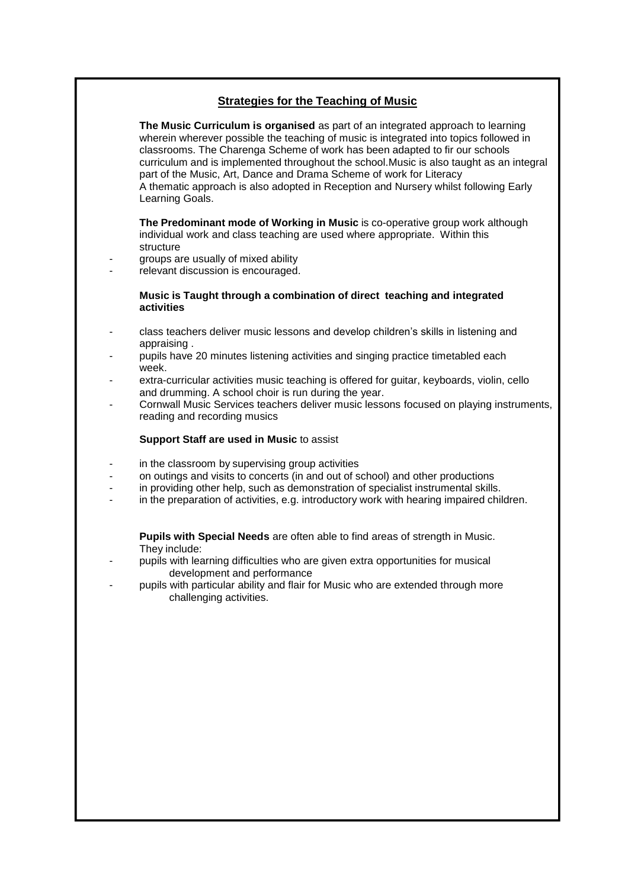# **Strategies for the Teaching of Music**

**The Music Curriculum is organised** as part of an integrated approach to learning wherein wherever possible the teaching of music is integrated into topics followed in classrooms. The Charenga Scheme of work has been adapted to fir our schools curriculum and is implemented throughout the school.Music is also taught as an integral part of the Music, Art, Dance and Drama Scheme of work for Literacy A thematic approach is also adopted in Reception and Nursery whilst following Early Learning Goals.

**The Predominant mode of Working in Music** is co-operative group work although individual work and class teaching are used where appropriate. Within this structure

- groups are usually of mixed ability
- relevant discussion is encouraged.

#### **Music is Taught through a combination of direct teaching and integrated activities**

- class teachers deliver music lessons and develop children's skills in listening and appraising .
- pupils have 20 minutes listening activities and singing practice timetabled each week.
- extra-curricular activities music teaching is offered for guitar, keyboards, violin, cello and drumming. A school choir is run during the year.
- Cornwall Music Services teachers deliver music lessons focused on playing instruments, reading and recording musics

## **Support Staff are used in Music** to assist

- in the classroom by supervising group activities
- on outings and visits to concerts (in and out of school) and other productions
- in providing other help, such as demonstration of specialist instrumental skills.
- in the preparation of activities, e.g. introductory work with hearing impaired children.

**Pupils with Special Needs** are often able to find areas of strength in Music. They include:

- pupils with learning difficulties who are given extra opportunities for musical development and performance
- pupils with particular ability and flair for Music who are extended through more challenging activities.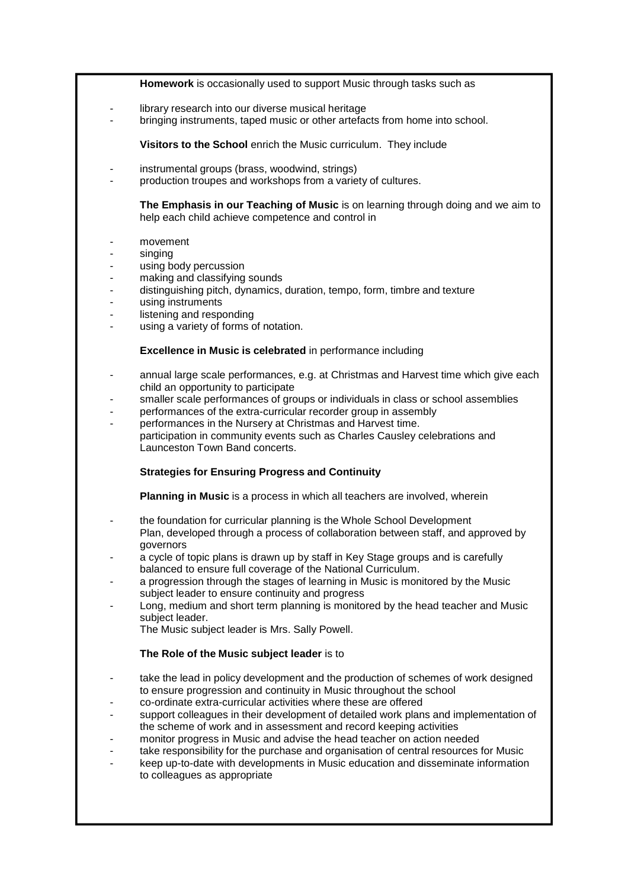### **Homework** is occasionally used to support Music through tasks such as

- library research into our diverse musical heritage
- bringing instruments, taped music or other artefacts from home into school.

**Visitors to the School** enrich the Music curriculum. They include

- instrumental groups (brass, woodwind, strings)
- production troupes and workshops from a variety of cultures.

**The Emphasis in our Teaching of Music** is on learning through doing and we aim to help each child achieve competence and control in

- movement
- singing
- using body percussion
- making and classifying sounds
- distinguishing pitch, dynamics, duration, tempo, form, timbre and texture
- using instruments
- listening and responding
- using a variety of forms of notation.

### **Excellence in Music is celebrated** in performance including

- annual large scale performances, e.g. at Christmas and Harvest time which give each child an opportunity to participate
- smaller scale performances of groups or individuals in class or school assemblies
- performances of the extra-curricular recorder group in assembly
- performances in the Nursery at Christmas and Harvest time. participation in community events such as Charles Causley celebrations and Launceston Town Band concerts.

# **Strategies for Ensuring Progress and Continuity**

**Planning in Music** is a process in which all teachers are involved, wherein

- the foundation for curricular planning is the Whole School Development Plan, developed through a process of collaboration between staff, and approved by governors
- a cycle of topic plans is drawn up by staff in Key Stage groups and is carefully balanced to ensure full coverage of the National Curriculum.
- a progression through the stages of learning in Music is monitored by the Music subject leader to ensure continuity and progress
- Long, medium and short term planning is monitored by the head teacher and Music subject leader.

The Music subject leader is Mrs. Sally Powell.

# **The Role of the Music subject leader** is to

- take the lead in policy development and the production of schemes of work designed to ensure progression and continuity in Music throughout the school
- co-ordinate extra-curricular activities where these are offered
- support colleagues in their development of detailed work plans and implementation of the scheme of work and in assessment and record keeping activities
- monitor progress in Music and advise the head teacher on action needed
- take responsibility for the purchase and organisation of central resources for Music
- keep up-to-date with developments in Music education and disseminate information to colleagues as appropriate